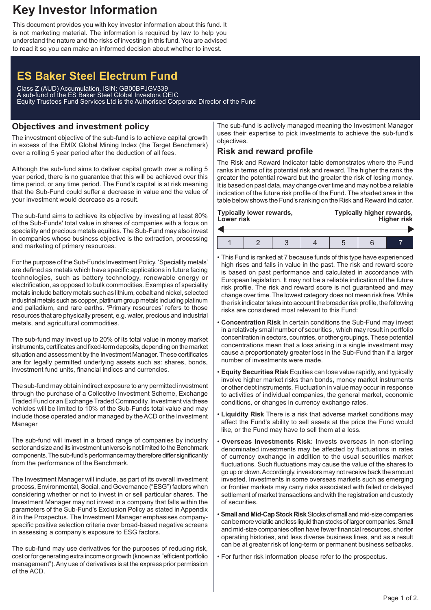## **Key Investor Information**

This document provides you with key investor information about this fund. It is not marketing material. The information is required by law to help you understand the nature and the risks of investing in this fund. You are advised to read it so you can make an informed decision about whether to invest.

# **ES Baker Steel Electrum Fund**

Class Z (AUD) Accumulation, ISIN: GB00BPJGV339 A sub-fund of the ES Baker Steel Global Investors OEIC Equity Trustees Fund Services Ltd is the Authorised Corporate Director of the Fund

## **Objectives and investment policy**

The investment objective of the sub-fund is to achieve capital growth in excess of the EMIX Global Mining Index (the Target Benchmark) over a rolling 5 year period after the deduction of all fees.

Although the sub-fund aims to deliver capital growth over a rolling 5 year period, there is no guarantee that this will be achieved over this time period, or any time period. The Fund's capital is at risk meaning that the Sub-Fund could suffer a decrease in value and the value of your investment would decrease as a result.

The sub-fund aims to achieve its objective by investing at least 80% of the Sub-Funds' total value in shares of companies with a focus on speciality and precious metals equities. The Sub-Fund may also invest in companies whose business objective is the extraction, processing and marketing of primary resources.

For the purpose of the Sub-Funds Investment Policy, 'Speciality metals' are defined as metals which have specific applications in future facing technologies, such as battery technology, renewable energy or electrification, as opposed to bulk commodities. Examples of speciality metals include battery metals such as lithium, cobalt and nickel, selected industrial metals such as copper, platinum group metals including platinum and palladium, and rare earths. 'Primary resources' refers to those resources that are physically present, e.g. water, precious and industrial metals, and agricultural commodities.

The sub-fund may invest up to 20% of its total value in money market instruments, certificates and fixed-term deposits, depending on the market situation and assessment by the Investment Manager. These certificates are for legally permitted underlying assets such as: shares, bonds, investment fund units, financial indices and currencies.

The sub-fund may obtain indirect exposure to any permitted investment through the purchase of a Collective Investment Scheme, Exchange Traded Fund or an Exchange Traded Commodity. Investment via these vehicles will be limited to 10% of the Sub-Funds total value and may include those operated and/or managed by the ACD or the Investment Manager

The sub-fund will invest in a broad range of companies by industry sector and size and its investment universe is not limited to the Benchmark components. The sub-fund's performance may therefore differ significantly from the performance of the Benchmark.

The Investment Manager will include, as part of its overall investment process, Environmental, Social, and Governance ("ESG") factors when considering whether or not to invest in or sell particular shares. The Investment Manager may not invest in a company that falls within the parameters of the Sub-Fund's Exclusion Policy as stated in Appendix 8 in the Prospectus. The Investment Manager emphasises companyspecific positive selection criteria over broad-based negative screens in assessing a company's exposure to ESG factors.

The sub-fund may use derivatives for the purposes of reducing risk, cost or for generating extra income or growth (known as "efficient portfolio management").Any use of derivatives is at the express prior permission of the ACD.

The sub-fund is actively managed meaning the Investment Manager uses their expertise to pick investments to achieve the sub-fund's objectives.

## **Risk and reward profile**

The Risk and Reward Indicator table demonstrates where the Fund ranks in terms of its potential risk and reward. The higher the rank the greater the potential reward but the greater the risk of losing money. It is based on past data, may change over time and may not be a reliable indication of the future risk profile of the Fund. The shaded area in the table below shows the Fund's ranking on the Risk and Reward Indicator.

| Typically lower rewards,<br>Lower risk |  |  |  | Typically higher rewards,<br><b>Higher risk</b> |  |  |  |
|----------------------------------------|--|--|--|-------------------------------------------------|--|--|--|
|                                        |  |  |  |                                                 |  |  |  |
|                                        |  |  |  |                                                 |  |  |  |

- This Fund is ranked at 7 because funds of this type have experienced high rises and falls in value in the past. The risk and reward score is based on past performance and calculated in accordance with European legislation. It may not be a reliable indication of the future risk profile. The risk and reward score is not guaranteed and may change over time. The lowest category does not mean risk free. While the risk indicator takes into account the broader risk profile, the following risks are considered most relevant to this Fund:
- **Concentration Risk** In certain conditions the Sub-Fund may invest in a relatively small number of securities , which may result in portfolio concentration in sectors, countries, or other groupings. These potential concentrations mean that a loss arising in a single investment may cause a proportionately greater loss in the Sub-Fund than if a larger number of investments were made.
- **Equity Securities Risk** Equities can lose value rapidly, and typically involve higher market risks than bonds, money market instruments or other debt instruments. Fluctuation in value may occur in response to activities of individual companies, the general market, economic conditions, or changes in currency exchange rates.
- **Liquidity Risk** There is a risk that adverse market conditions may affect the Fund's ability to sell assets at the price the Fund would like, or the Fund may have to sell them at a loss.
- **Overseas Investments Risk:** Invests overseas in non-sterling denominated investments may be affected by fluctuations in rates of currency exchange in addition to the usual securities market fluctuations. Such fluctuations may cause the value of the shares to go up or down.Accordingly, investors may not receive back the amount invested. Investments in some overseas markets such as emerging or frontier markets may carry risks associated with failed or delayed settlement of market transactions and with the registration and custody of securities.
- **Small and Mid-Cap Stock Risk** Stocks of small and mid-size companies can be more volatile and less liquid than stocks of larger companies. Small and mid-size companies often have fewer financial resources, shorter operating histories, and less diverse business lines, and as a result can be at greater risk of long-term or permanent business setbacks.
- For further risk information please refer to the prospectus.